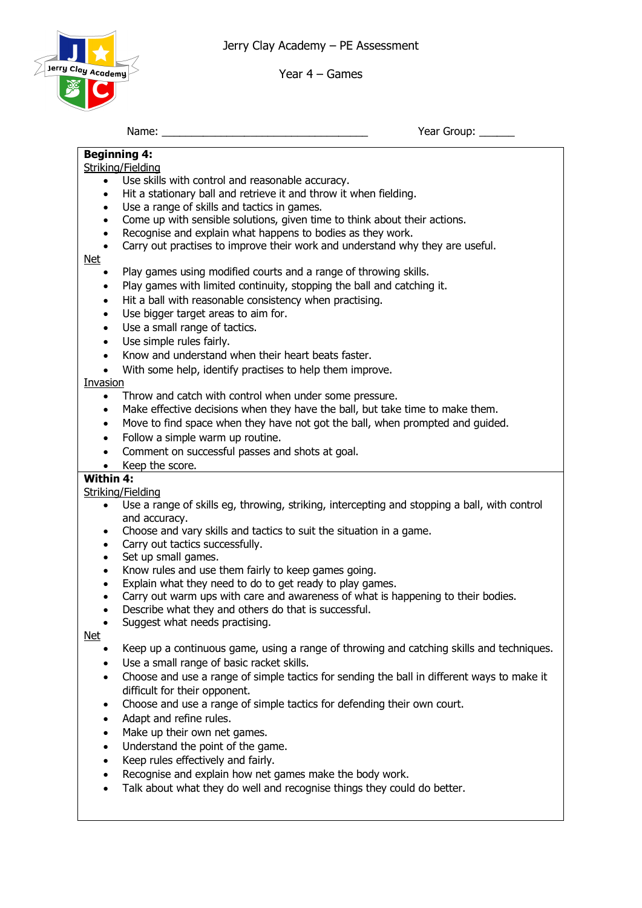Jerry Clay Academy – PE Assessment



Year 4 – Games

Name: \_\_\_\_\_\_\_\_\_\_\_\_\_\_\_\_\_\_\_\_\_\_\_\_\_\_\_\_\_\_\_\_\_\_\_ Year Group: \_\_\_\_\_\_

## **Beginning 4:** Striking/Fielding Use skills with control and reasonable accuracy. • Hit a stationary ball and retrieve it and throw it when fielding. • Use a range of skills and tactics in games. Come up with sensible solutions, given time to think about their actions. Recognise and explain what happens to bodies as they work. Carry out practises to improve their work and understand why they are useful. Net • Play games using modified courts and a range of throwing skills. • Play games with limited continuity, stopping the ball and catching it. • Hit a ball with reasonable consistency when practising. Use bigger target areas to aim for. Use a small range of tactics. • Use simple rules fairly. Know and understand when their heart beats faster. • With some help, identify practises to help them improve. **Invasion**

- Throw and catch with control when under some pressure.
- Make effective decisions when they have the ball, but take time to make them.
- Move to find space when they have not got the ball, when prompted and guided.
- Follow a simple warm up routine.
- Comment on successful passes and shots at goal.
- Keep the score.

# **Within 4:**

Striking/Fielding

- Use a range of skills eg, throwing, striking, intercepting and stopping a ball, with control and accuracy.
- Choose and vary skills and tactics to suit the situation in a game.
- Carry out tactics successfully.
- Set up small games.
- Know rules and use them fairly to keep games going.
- Explain what they need to do to get ready to play games.
- Carry out warm ups with care and awareness of what is happening to their bodies.
- Describe what they and others do that is successful.
- Suggest what needs practising.

Net

- Keep up a continuous game, using a range of throwing and catching skills and techniques.
- Use a small range of basic racket skills.
- Choose and use a range of simple tactics for sending the ball in different ways to make it difficult for their opponent.
- Choose and use a range of simple tactics for defending their own court.
- Adapt and refine rules.
- Make up their own net games.
- Understand the point of the game.
- Keep rules effectively and fairly.
- Recognise and explain how net games make the body work.
- Talk about what they do well and recognise things they could do better.